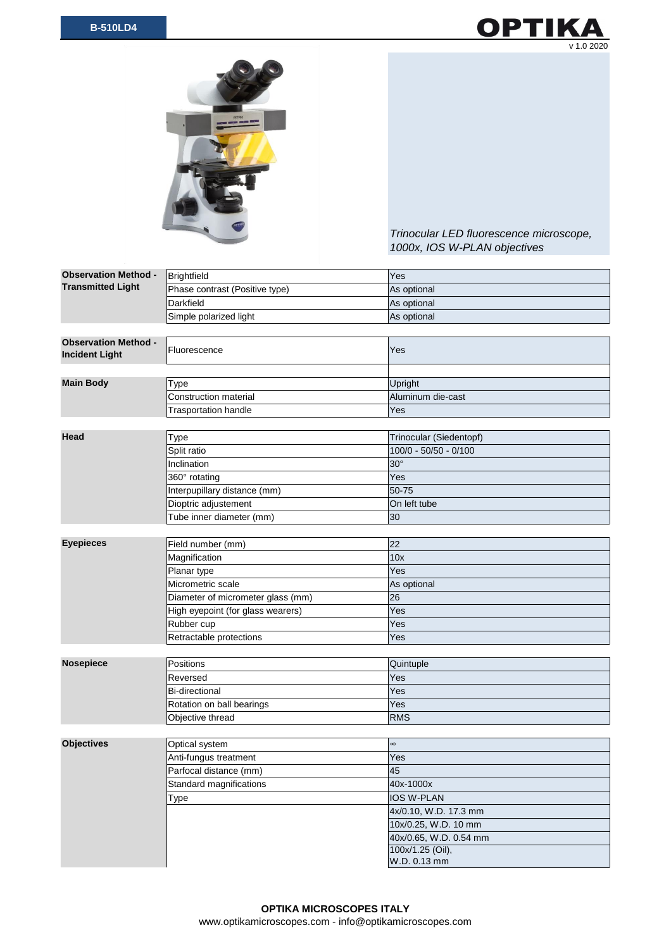



*Trinocular LED fluorescence microscope, 1000x, IOS W-PLAN objectives*

| <b>Observation Method -</b><br><b>Transmitted Light</b> | Brightfield                       | Yes                     |
|---------------------------------------------------------|-----------------------------------|-------------------------|
|                                                         | Phase contrast (Positive type)    | As optional             |
|                                                         | Darkfield                         | As optional             |
|                                                         | Simple polarized light            | As optional             |
|                                                         |                                   |                         |
| <b>Observation Method -</b><br><b>Incident Light</b>    | Fluorescence                      | Yes                     |
|                                                         |                                   |                         |
| <b>Main Body</b>                                        | Type                              | Upright                 |
|                                                         | <b>Construction material</b>      | Aluminum die-cast       |
|                                                         | <b>Trasportation handle</b>       | Yes                     |
|                                                         |                                   |                         |
| Head                                                    | Type                              | Trinocular (Siedentopf) |
|                                                         | Split ratio                       | $100/0 - 50/50 - 0/100$ |
|                                                         | Inclination                       | $30^\circ$              |
|                                                         | 360° rotating                     | Yes                     |
|                                                         | Interpupillary distance (mm)      | 50-75                   |
|                                                         | Dioptric adjustement              | On left tube            |
|                                                         | Tube inner diameter (mm)          | 30                      |
|                                                         |                                   |                         |
| <b>Eyepieces</b>                                        | Field number (mm)                 | 22                      |
|                                                         | Magnification                     | 10x                     |
|                                                         | Planar type                       | Yes                     |
|                                                         | Micrometric scale                 | As optional             |
|                                                         | Diameter of micrometer glass (mm) | 26                      |
|                                                         | High eyepoint (for glass wearers) | Yes                     |
|                                                         | Rubber cup                        | Yes                     |
|                                                         | Retractable protections           | Yes                     |
|                                                         |                                   |                         |
| <b>Nosepiece</b>                                        | <b>Positions</b>                  | Quintuple               |
|                                                         | Reversed                          | Yes                     |
|                                                         | <b>Bi-directional</b>             | Yes                     |
|                                                         | Rotation on ball bearings         | Yes                     |
|                                                         | Objective thread                  | <b>RMS</b>              |
|                                                         |                                   |                         |
| <b>Objectives</b>                                       | Optical system                    | $\infty$                |
|                                                         | Anti-fungus treatment             | Yes                     |
|                                                         | Parfocal distance (mm)            | 45                      |
|                                                         | Standard magnifications           | 40x-1000x               |
|                                                         | Type                              | IOS W-PLAN              |
|                                                         |                                   | 4x/0.10, W.D. 17.3 mm   |
|                                                         |                                   | 10x/0.25, W.D. 10 mm    |
|                                                         |                                   | 40x/0.65, W.D. 0.54 mm  |
|                                                         |                                   | 100x/1.25 (Oil),        |
|                                                         |                                   | W.D. 0.13 mm            |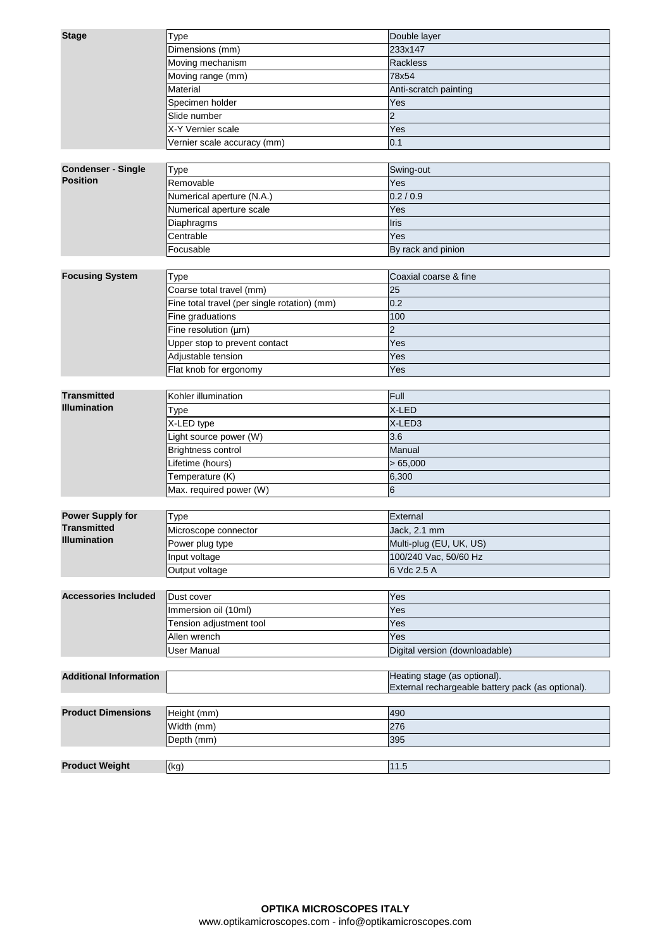| Dimensions (mm)<br>233x147<br>Moving mechanism<br>Rackless<br>Moving range (mm)<br>78x54<br>Material<br>Anti-scratch painting<br>Specimen holder<br>Yes<br>Slide number<br>$\overline{2}$<br>X-Y Vernier scale<br>Yes<br>0.1<br>Vernier scale accuracy (mm)<br><b>Condenser - Single</b><br>Type<br>Swing-out<br><b>Position</b><br>Removable<br>Yes<br>Numerical aperture (N.A.)<br>0.2 / 0.9<br>Numerical aperture scale<br>Yes<br>Diaphragms<br>Iris<br>Yes<br>Centrable<br>Focusable<br>By rack and pinion<br><b>Focusing System</b><br><b>Type</b><br>Coaxial coarse & fine<br>Coarse total travel (mm)<br>25<br>0.2<br>Fine total travel (per single rotation) (mm)<br>Fine graduations<br>100<br>$\overline{2}$<br>Fine resolution (µm)<br>Yes<br>Upper stop to prevent contact<br>Adjustable tension<br>Yes<br>Flat knob for ergonomy<br>Yes<br><b>Transmitted</b><br>Kohler illumination<br>Full<br><b>Illumination</b><br>X-LED<br>Type<br>X-LED type<br>X-LED3<br>3.6<br>Light source power (W)<br><b>Brightness control</b><br>Manual<br>Lifetime (hours)<br>>65,000<br>Temperature (K)<br>6,300<br>6<br>Max. required power (W)<br><b>Power Supply for</b><br>External<br><b>Type</b><br><b>Transmitted</b><br>Microscope connector<br>Jack, 2.1 mm<br><b>Illumination</b><br>Multi-plug (EU, UK, US)<br>Power plug type<br>100/240 Vac, 50/60 Hz<br>Input voltage<br>Output voltage<br>6 Vdc 2.5 A<br><b>Accessories Included</b><br>Dust cover<br>Yes<br>Immersion oil (10ml)<br>Yes<br>Tension adjustment tool<br>Yes<br>Allen wrench<br>Yes<br><b>User Manual</b><br>Digital version (downloadable)<br><b>Additional Information</b><br>Heating stage (as optional).<br>External rechargeable battery pack (as optional).<br><b>Product Dimensions</b><br>Height (mm)<br>490<br>Width (mm)<br>276<br>Depth (mm)<br>395<br><b>Product Weight</b><br>(kg)<br>11.5 | <b>Stage</b> | Type | Double layer |
|----------------------------------------------------------------------------------------------------------------------------------------------------------------------------------------------------------------------------------------------------------------------------------------------------------------------------------------------------------------------------------------------------------------------------------------------------------------------------------------------------------------------------------------------------------------------------------------------------------------------------------------------------------------------------------------------------------------------------------------------------------------------------------------------------------------------------------------------------------------------------------------------------------------------------------------------------------------------------------------------------------------------------------------------------------------------------------------------------------------------------------------------------------------------------------------------------------------------------------------------------------------------------------------------------------------------------------------------------------------------------------------------------------------------------------------------------------------------------------------------------------------------------------------------------------------------------------------------------------------------------------------------------------------------------------------------------------------------------------------------------------------------------------------------------------------------------------------------------------------------------------|--------------|------|--------------|
|                                                                                                                                                                                                                                                                                                                                                                                                                                                                                                                                                                                                                                                                                                                                                                                                                                                                                                                                                                                                                                                                                                                                                                                                                                                                                                                                                                                                                                                                                                                                                                                                                                                                                                                                                                                                                                                                                  |              |      |              |
|                                                                                                                                                                                                                                                                                                                                                                                                                                                                                                                                                                                                                                                                                                                                                                                                                                                                                                                                                                                                                                                                                                                                                                                                                                                                                                                                                                                                                                                                                                                                                                                                                                                                                                                                                                                                                                                                                  |              |      |              |
|                                                                                                                                                                                                                                                                                                                                                                                                                                                                                                                                                                                                                                                                                                                                                                                                                                                                                                                                                                                                                                                                                                                                                                                                                                                                                                                                                                                                                                                                                                                                                                                                                                                                                                                                                                                                                                                                                  |              |      |              |
|                                                                                                                                                                                                                                                                                                                                                                                                                                                                                                                                                                                                                                                                                                                                                                                                                                                                                                                                                                                                                                                                                                                                                                                                                                                                                                                                                                                                                                                                                                                                                                                                                                                                                                                                                                                                                                                                                  |              |      |              |
|                                                                                                                                                                                                                                                                                                                                                                                                                                                                                                                                                                                                                                                                                                                                                                                                                                                                                                                                                                                                                                                                                                                                                                                                                                                                                                                                                                                                                                                                                                                                                                                                                                                                                                                                                                                                                                                                                  |              |      |              |
|                                                                                                                                                                                                                                                                                                                                                                                                                                                                                                                                                                                                                                                                                                                                                                                                                                                                                                                                                                                                                                                                                                                                                                                                                                                                                                                                                                                                                                                                                                                                                                                                                                                                                                                                                                                                                                                                                  |              |      |              |
|                                                                                                                                                                                                                                                                                                                                                                                                                                                                                                                                                                                                                                                                                                                                                                                                                                                                                                                                                                                                                                                                                                                                                                                                                                                                                                                                                                                                                                                                                                                                                                                                                                                                                                                                                                                                                                                                                  |              |      |              |
|                                                                                                                                                                                                                                                                                                                                                                                                                                                                                                                                                                                                                                                                                                                                                                                                                                                                                                                                                                                                                                                                                                                                                                                                                                                                                                                                                                                                                                                                                                                                                                                                                                                                                                                                                                                                                                                                                  |              |      |              |
|                                                                                                                                                                                                                                                                                                                                                                                                                                                                                                                                                                                                                                                                                                                                                                                                                                                                                                                                                                                                                                                                                                                                                                                                                                                                                                                                                                                                                                                                                                                                                                                                                                                                                                                                                                                                                                                                                  |              |      |              |
|                                                                                                                                                                                                                                                                                                                                                                                                                                                                                                                                                                                                                                                                                                                                                                                                                                                                                                                                                                                                                                                                                                                                                                                                                                                                                                                                                                                                                                                                                                                                                                                                                                                                                                                                                                                                                                                                                  |              |      |              |
|                                                                                                                                                                                                                                                                                                                                                                                                                                                                                                                                                                                                                                                                                                                                                                                                                                                                                                                                                                                                                                                                                                                                                                                                                                                                                                                                                                                                                                                                                                                                                                                                                                                                                                                                                                                                                                                                                  |              |      |              |
|                                                                                                                                                                                                                                                                                                                                                                                                                                                                                                                                                                                                                                                                                                                                                                                                                                                                                                                                                                                                                                                                                                                                                                                                                                                                                                                                                                                                                                                                                                                                                                                                                                                                                                                                                                                                                                                                                  |              |      |              |
|                                                                                                                                                                                                                                                                                                                                                                                                                                                                                                                                                                                                                                                                                                                                                                                                                                                                                                                                                                                                                                                                                                                                                                                                                                                                                                                                                                                                                                                                                                                                                                                                                                                                                                                                                                                                                                                                                  |              |      |              |
|                                                                                                                                                                                                                                                                                                                                                                                                                                                                                                                                                                                                                                                                                                                                                                                                                                                                                                                                                                                                                                                                                                                                                                                                                                                                                                                                                                                                                                                                                                                                                                                                                                                                                                                                                                                                                                                                                  |              |      |              |
|                                                                                                                                                                                                                                                                                                                                                                                                                                                                                                                                                                                                                                                                                                                                                                                                                                                                                                                                                                                                                                                                                                                                                                                                                                                                                                                                                                                                                                                                                                                                                                                                                                                                                                                                                                                                                                                                                  |              |      |              |
|                                                                                                                                                                                                                                                                                                                                                                                                                                                                                                                                                                                                                                                                                                                                                                                                                                                                                                                                                                                                                                                                                                                                                                                                                                                                                                                                                                                                                                                                                                                                                                                                                                                                                                                                                                                                                                                                                  |              |      |              |
|                                                                                                                                                                                                                                                                                                                                                                                                                                                                                                                                                                                                                                                                                                                                                                                                                                                                                                                                                                                                                                                                                                                                                                                                                                                                                                                                                                                                                                                                                                                                                                                                                                                                                                                                                                                                                                                                                  |              |      |              |
|                                                                                                                                                                                                                                                                                                                                                                                                                                                                                                                                                                                                                                                                                                                                                                                                                                                                                                                                                                                                                                                                                                                                                                                                                                                                                                                                                                                                                                                                                                                                                                                                                                                                                                                                                                                                                                                                                  |              |      |              |
|                                                                                                                                                                                                                                                                                                                                                                                                                                                                                                                                                                                                                                                                                                                                                                                                                                                                                                                                                                                                                                                                                                                                                                                                                                                                                                                                                                                                                                                                                                                                                                                                                                                                                                                                                                                                                                                                                  |              |      |              |
|                                                                                                                                                                                                                                                                                                                                                                                                                                                                                                                                                                                                                                                                                                                                                                                                                                                                                                                                                                                                                                                                                                                                                                                                                                                                                                                                                                                                                                                                                                                                                                                                                                                                                                                                                                                                                                                                                  |              |      |              |
|                                                                                                                                                                                                                                                                                                                                                                                                                                                                                                                                                                                                                                                                                                                                                                                                                                                                                                                                                                                                                                                                                                                                                                                                                                                                                                                                                                                                                                                                                                                                                                                                                                                                                                                                                                                                                                                                                  |              |      |              |
|                                                                                                                                                                                                                                                                                                                                                                                                                                                                                                                                                                                                                                                                                                                                                                                                                                                                                                                                                                                                                                                                                                                                                                                                                                                                                                                                                                                                                                                                                                                                                                                                                                                                                                                                                                                                                                                                                  |              |      |              |
|                                                                                                                                                                                                                                                                                                                                                                                                                                                                                                                                                                                                                                                                                                                                                                                                                                                                                                                                                                                                                                                                                                                                                                                                                                                                                                                                                                                                                                                                                                                                                                                                                                                                                                                                                                                                                                                                                  |              |      |              |
|                                                                                                                                                                                                                                                                                                                                                                                                                                                                                                                                                                                                                                                                                                                                                                                                                                                                                                                                                                                                                                                                                                                                                                                                                                                                                                                                                                                                                                                                                                                                                                                                                                                                                                                                                                                                                                                                                  |              |      |              |
|                                                                                                                                                                                                                                                                                                                                                                                                                                                                                                                                                                                                                                                                                                                                                                                                                                                                                                                                                                                                                                                                                                                                                                                                                                                                                                                                                                                                                                                                                                                                                                                                                                                                                                                                                                                                                                                                                  |              |      |              |
|                                                                                                                                                                                                                                                                                                                                                                                                                                                                                                                                                                                                                                                                                                                                                                                                                                                                                                                                                                                                                                                                                                                                                                                                                                                                                                                                                                                                                                                                                                                                                                                                                                                                                                                                                                                                                                                                                  |              |      |              |
|                                                                                                                                                                                                                                                                                                                                                                                                                                                                                                                                                                                                                                                                                                                                                                                                                                                                                                                                                                                                                                                                                                                                                                                                                                                                                                                                                                                                                                                                                                                                                                                                                                                                                                                                                                                                                                                                                  |              |      |              |
|                                                                                                                                                                                                                                                                                                                                                                                                                                                                                                                                                                                                                                                                                                                                                                                                                                                                                                                                                                                                                                                                                                                                                                                                                                                                                                                                                                                                                                                                                                                                                                                                                                                                                                                                                                                                                                                                                  |              |      |              |
|                                                                                                                                                                                                                                                                                                                                                                                                                                                                                                                                                                                                                                                                                                                                                                                                                                                                                                                                                                                                                                                                                                                                                                                                                                                                                                                                                                                                                                                                                                                                                                                                                                                                                                                                                                                                                                                                                  |              |      |              |
|                                                                                                                                                                                                                                                                                                                                                                                                                                                                                                                                                                                                                                                                                                                                                                                                                                                                                                                                                                                                                                                                                                                                                                                                                                                                                                                                                                                                                                                                                                                                                                                                                                                                                                                                                                                                                                                                                  |              |      |              |
|                                                                                                                                                                                                                                                                                                                                                                                                                                                                                                                                                                                                                                                                                                                                                                                                                                                                                                                                                                                                                                                                                                                                                                                                                                                                                                                                                                                                                                                                                                                                                                                                                                                                                                                                                                                                                                                                                  |              |      |              |
|                                                                                                                                                                                                                                                                                                                                                                                                                                                                                                                                                                                                                                                                                                                                                                                                                                                                                                                                                                                                                                                                                                                                                                                                                                                                                                                                                                                                                                                                                                                                                                                                                                                                                                                                                                                                                                                                                  |              |      |              |
|                                                                                                                                                                                                                                                                                                                                                                                                                                                                                                                                                                                                                                                                                                                                                                                                                                                                                                                                                                                                                                                                                                                                                                                                                                                                                                                                                                                                                                                                                                                                                                                                                                                                                                                                                                                                                                                                                  |              |      |              |
|                                                                                                                                                                                                                                                                                                                                                                                                                                                                                                                                                                                                                                                                                                                                                                                                                                                                                                                                                                                                                                                                                                                                                                                                                                                                                                                                                                                                                                                                                                                                                                                                                                                                                                                                                                                                                                                                                  |              |      |              |
|                                                                                                                                                                                                                                                                                                                                                                                                                                                                                                                                                                                                                                                                                                                                                                                                                                                                                                                                                                                                                                                                                                                                                                                                                                                                                                                                                                                                                                                                                                                                                                                                                                                                                                                                                                                                                                                                                  |              |      |              |
|                                                                                                                                                                                                                                                                                                                                                                                                                                                                                                                                                                                                                                                                                                                                                                                                                                                                                                                                                                                                                                                                                                                                                                                                                                                                                                                                                                                                                                                                                                                                                                                                                                                                                                                                                                                                                                                                                  |              |      |              |
|                                                                                                                                                                                                                                                                                                                                                                                                                                                                                                                                                                                                                                                                                                                                                                                                                                                                                                                                                                                                                                                                                                                                                                                                                                                                                                                                                                                                                                                                                                                                                                                                                                                                                                                                                                                                                                                                                  |              |      |              |
|                                                                                                                                                                                                                                                                                                                                                                                                                                                                                                                                                                                                                                                                                                                                                                                                                                                                                                                                                                                                                                                                                                                                                                                                                                                                                                                                                                                                                                                                                                                                                                                                                                                                                                                                                                                                                                                                                  |              |      |              |
|                                                                                                                                                                                                                                                                                                                                                                                                                                                                                                                                                                                                                                                                                                                                                                                                                                                                                                                                                                                                                                                                                                                                                                                                                                                                                                                                                                                                                                                                                                                                                                                                                                                                                                                                                                                                                                                                                  |              |      |              |
|                                                                                                                                                                                                                                                                                                                                                                                                                                                                                                                                                                                                                                                                                                                                                                                                                                                                                                                                                                                                                                                                                                                                                                                                                                                                                                                                                                                                                                                                                                                                                                                                                                                                                                                                                                                                                                                                                  |              |      |              |
|                                                                                                                                                                                                                                                                                                                                                                                                                                                                                                                                                                                                                                                                                                                                                                                                                                                                                                                                                                                                                                                                                                                                                                                                                                                                                                                                                                                                                                                                                                                                                                                                                                                                                                                                                                                                                                                                                  |              |      |              |
|                                                                                                                                                                                                                                                                                                                                                                                                                                                                                                                                                                                                                                                                                                                                                                                                                                                                                                                                                                                                                                                                                                                                                                                                                                                                                                                                                                                                                                                                                                                                                                                                                                                                                                                                                                                                                                                                                  |              |      |              |
|                                                                                                                                                                                                                                                                                                                                                                                                                                                                                                                                                                                                                                                                                                                                                                                                                                                                                                                                                                                                                                                                                                                                                                                                                                                                                                                                                                                                                                                                                                                                                                                                                                                                                                                                                                                                                                                                                  |              |      |              |
|                                                                                                                                                                                                                                                                                                                                                                                                                                                                                                                                                                                                                                                                                                                                                                                                                                                                                                                                                                                                                                                                                                                                                                                                                                                                                                                                                                                                                                                                                                                                                                                                                                                                                                                                                                                                                                                                                  |              |      |              |
|                                                                                                                                                                                                                                                                                                                                                                                                                                                                                                                                                                                                                                                                                                                                                                                                                                                                                                                                                                                                                                                                                                                                                                                                                                                                                                                                                                                                                                                                                                                                                                                                                                                                                                                                                                                                                                                                                  |              |      |              |
|                                                                                                                                                                                                                                                                                                                                                                                                                                                                                                                                                                                                                                                                                                                                                                                                                                                                                                                                                                                                                                                                                                                                                                                                                                                                                                                                                                                                                                                                                                                                                                                                                                                                                                                                                                                                                                                                                  |              |      |              |
|                                                                                                                                                                                                                                                                                                                                                                                                                                                                                                                                                                                                                                                                                                                                                                                                                                                                                                                                                                                                                                                                                                                                                                                                                                                                                                                                                                                                                                                                                                                                                                                                                                                                                                                                                                                                                                                                                  |              |      |              |
|                                                                                                                                                                                                                                                                                                                                                                                                                                                                                                                                                                                                                                                                                                                                                                                                                                                                                                                                                                                                                                                                                                                                                                                                                                                                                                                                                                                                                                                                                                                                                                                                                                                                                                                                                                                                                                                                                  |              |      |              |
|                                                                                                                                                                                                                                                                                                                                                                                                                                                                                                                                                                                                                                                                                                                                                                                                                                                                                                                                                                                                                                                                                                                                                                                                                                                                                                                                                                                                                                                                                                                                                                                                                                                                                                                                                                                                                                                                                  |              |      |              |
|                                                                                                                                                                                                                                                                                                                                                                                                                                                                                                                                                                                                                                                                                                                                                                                                                                                                                                                                                                                                                                                                                                                                                                                                                                                                                                                                                                                                                                                                                                                                                                                                                                                                                                                                                                                                                                                                                  |              |      |              |
|                                                                                                                                                                                                                                                                                                                                                                                                                                                                                                                                                                                                                                                                                                                                                                                                                                                                                                                                                                                                                                                                                                                                                                                                                                                                                                                                                                                                                                                                                                                                                                                                                                                                                                                                                                                                                                                                                  |              |      |              |
|                                                                                                                                                                                                                                                                                                                                                                                                                                                                                                                                                                                                                                                                                                                                                                                                                                                                                                                                                                                                                                                                                                                                                                                                                                                                                                                                                                                                                                                                                                                                                                                                                                                                                                                                                                                                                                                                                  |              |      |              |
|                                                                                                                                                                                                                                                                                                                                                                                                                                                                                                                                                                                                                                                                                                                                                                                                                                                                                                                                                                                                                                                                                                                                                                                                                                                                                                                                                                                                                                                                                                                                                                                                                                                                                                                                                                                                                                                                                  |              |      |              |
|                                                                                                                                                                                                                                                                                                                                                                                                                                                                                                                                                                                                                                                                                                                                                                                                                                                                                                                                                                                                                                                                                                                                                                                                                                                                                                                                                                                                                                                                                                                                                                                                                                                                                                                                                                                                                                                                                  |              |      |              |